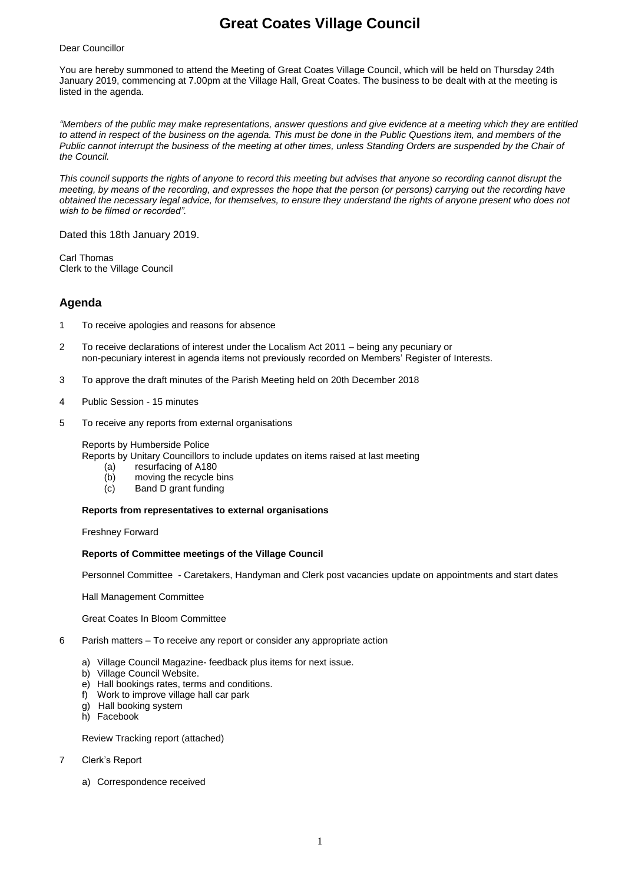# **Great Coates Village Council**

#### Dear Councillor

You are hereby summoned to attend the Meeting of Great Coates Village Council, which will be held on Thursday 24th January 2019, commencing at 7.00pm at the Village Hall, Great Coates. The business to be dealt with at the meeting is listed in the agenda.

*"Members of the public may make representations, answer questions and give evidence at a meeting which they are entitled to attend in respect of the business on the agenda. This must be done in the Public Questions item, and members of the Public cannot interrupt the business of the meeting at other times, unless Standing Orders are suspended by the Chair of the Council.* 

*This council supports the rights of anyone to record this meeting but advises that anyone so recording cannot disrupt the meeting, by means of the recording, and expresses the hope that the person (or persons) carrying out the recording have obtained the necessary legal advice, for themselves, to ensure they understand the rights of anyone present who does not wish to be filmed or recorded".*

Dated this 18th January 2019.

Carl Thomas Clerk to the Village Council

## **Agenda**

- 1 To receive apologies and reasons for absence
- 2 To receive declarations of interest under the Localism Act 2011 being any pecuniary or non-pecuniary interest in agenda items not previously recorded on Members' Register of Interests.
- 3 To approve the draft minutes of the Parish Meeting held on 20th December 2018
- 4 Public Session 15 minutes
- 5 To receive any reports from external organisations

#### Reports by Humberside Police

Reports by Unitary Councillors to include updates on items raised at last meeting

- (a) resurfacing of A180
- (b) moving the recycle bins
- (c) Band D grant funding

#### **Reports from representatives to external organisations**

Freshney Forward

#### **Reports of Committee meetings of the Village Council**

Personnel Committee - Caretakers, Handyman and Clerk post vacancies update on appointments and start dates

Hall Management Committee

Great Coates In Bloom Committee

- 6 Parish matters To receive any report or consider any appropriate action
	- a) Village Council Magazine- feedback plus items for next issue.
		- b) Village Council Website.
		- e) Hall bookings rates, terms and conditions.
		- f) Work to improve village hall car park
		- g) Hall booking system
		- h) Facebook

Review Tracking report (attached)

- 7 Clerk's Report
	- a) Correspondence received